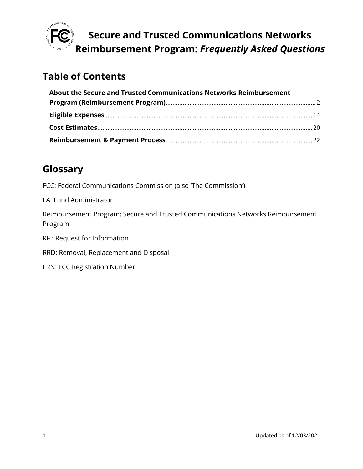

## **Table of Contents**

| About the Secure and Trusted Communications Networks Reimbursement |  |
|--------------------------------------------------------------------|--|
|                                                                    |  |
|                                                                    |  |
|                                                                    |  |
|                                                                    |  |

## **Glossary**

FCC: Federal Communications Commission (also 'The Commission')

FA: Fund Administrator

Reimbursement Program: Secure and Trusted Communications Networks Reimbursement Program

RFI: Request for Information

RRD: Removal, Replacement and Disposal

FRN: FCC Registration Number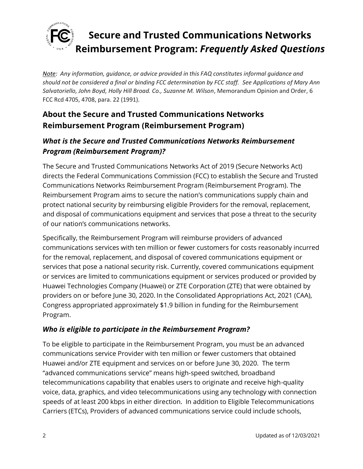

*Note: Any information, guidance, or advice provided in this FAQ constitutes informal guidance and should not be considered a final or binding FCC determination by FCC staff. See Applications of Mary Ann Salvatoriello, John Boyd, Holly Hill Broad. Co., Suzanne M. Wilson*, Memorandum Opinion and Order, 6 FCC Rcd 4705, 4708, para. 22 (1991).

## <span id="page-1-0"></span>**About the Secure and Trusted Communications Networks Reimbursement Program (Reimbursement Program)**

### *What is the Secure and Trusted Communications Networks Reimbursement Program (Reimbursement Program)?*

The Secure and Trusted Communications Networks Act of 2019 (Secure Networks Act) directs the Federal Communications Commission (FCC) to establish the Secure and Trusted Communications Networks Reimbursement Program (Reimbursement Program). The Reimbursement Program aims to secure the nation's communications supply chain and protect national security by reimbursing eligible Providers for the removal, replacement, and disposal of communications equipment and services that pose a threat to the security of our nation's communications networks.

Specifically, the Reimbursement Program will reimburse providers of advanced communications services with ten million or fewer customers for costs reasonably incurred for the removal, replacement, and disposal of covered communications equipment or services that pose a national security risk. Currently, covered communications equipment or services are limited to communications equipment or services produced or provided by Huawei Technologies Company (Huawei) or ZTE Corporation (ZTE) that were obtained by providers on or before June 30, 2020. In the Consolidated Appropriations Act, 2021 (CAA), Congress appropriated approximately \$1.9 billion in funding for the Reimbursement Program.

### *Who is eligible to participate in the Reimbursement Program?*

To be eligible to participate in the Reimbursement Program, you must be an advanced communications service Provider with ten million or fewer customers that obtained Huawei and/or ZTE equipment and services on or before June 30, 2020. The term "advanced communications service" means high-speed switched, broadband telecommunications capability that enables users to originate and receive high-quality voice, data, graphics, and video telecommunications using any technology with connection speeds of at least 200 kbps in either direction. In addition to Eligible Telecommunications Carriers (ETCs), Providers of advanced communications service could include schools,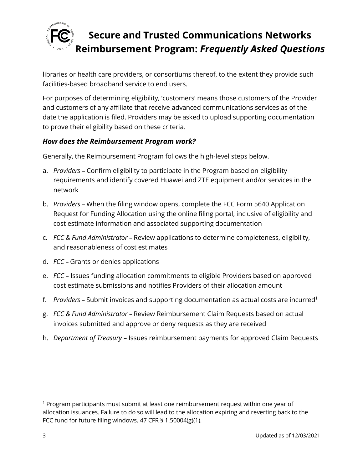

libraries or health care providers, or consortiums thereof, to the extent they provide such facilities-based broadband service to end users.

For purposes of determining eligibility, 'customers' means those customers of the Provider and customers of any affiliate that receive advanced communications services as of the date the application is filed. Providers may be asked to upload supporting documentation to prove their eligibility based on these criteria.

#### *How does the Reimbursement Program work?*

Generally, the Reimbursement Program follows the high-level steps below.

- a. *Providers* Confirm eligibility to participate in the Program based on eligibility requirements and identify covered Huawei and ZTE equipment and/or services in the network
- b. *Providers*  When the filing window opens, complete the FCC Form 5640 Application Request for Funding Allocation using the online filing portal, inclusive of eligibility and cost estimate information and associated supporting documentation
- c. *FCC & Fund Administrator* Review applications to determine completeness, eligibility, and reasonableness of cost estimates
- d. *FCC* Grants or denies applications
- e. *FCC* Issues funding allocation commitments to eligible Providers based on approved cost estimate submissions and notifies Providers of their allocation amount
- f. *Providers* Submit invoices and supporting documentation as actual costs are incurred<sup>1</sup>
- g. *FCC & Fund Administrator* Review Reimbursement Claim Requests based on actual invoices submitted and approve or deny requests as they are received
- h. *Department of Treasury* Issues reimbursement payments for approved Claim Requests

 $1$  Program participants must submit at least one reimbursement request within one year of allocation issuances. Failure to do so will lead to the allocation expiring and reverting back to the FCC fund for future filing windows. 47 CFR § 1.50004(g)(1).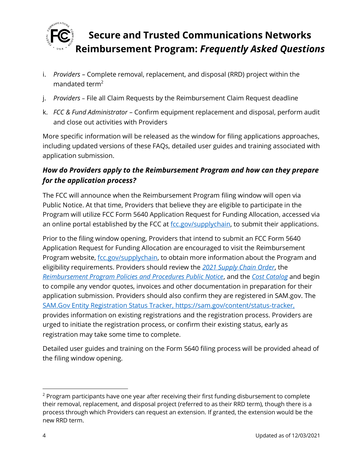

- i. *Providers –* Complete removal, replacement, and disposal (RRD) project within the mandated term<sup>2</sup>
- j. *Providers* File all Claim Requests by the Reimbursement Claim Request deadline
- k. *FCC & Fund Administrator* Confirm equipment replacement and disposal, perform audit and close out activities with Providers

More specific information will be released as the window for filing applications approaches, including updated versions of these FAQs, detailed user guides and training associated with application submission.

### *How do Providers apply to the Reimbursement Program and how can they prepare for the application process?*

The FCC will announce when the Reimbursement Program filing window will open via Public Notice. At that time, Providers that believe they are eligible to participate in the Program will utilize FCC Form 5640 Application Request for Funding Allocation, accessed via an online portal established by the FCC at  $fcc.gov/supplychain$ , to submit their applications.

Prior to the filing window opening, Providers that intend to submit an FCC Form 5640 Application Request for Funding Allocation are encouraged to visit the Reimbursement Program website, [fcc.gov/supplychain,](https://www.fcc.gov/supplychain) to obtain more information about the Program and eligibility requirements. Providers should review the *[2021 Supply Chain Order](https://www.fcc.gov/document/fcc-acts-protect-national-security-communications-supply-chain-0)*, the *[Reimbursement Program Policies and Procedures Public Notice](https://www.fcc.gov/document/fcc-announces-final-supply-chain-reimbursement-program-procedures)*, and the *[Cost Catalog](https://docs.fcc.gov/public/attachments/DA-21-947A4.pdf)* and begin to compile any vendor quotes, invoices and other documentation in preparation for their application submission. Providers should also confirm they are registered in SAM.gov. The [SAM.Gov Entity Registration Status Tracker,](https://sam.gov/content/status-tracker) https://sam.gov/content/status-tracker, provides information on existing registrations and the registration process. Providers are urged to initiate the registration process, or confirm their existing status, early as registration may take some time to complete.

Detailed user guides and training on the Form 5640 filing process will be provided ahead of the filing window opening.

 $2$  Program participants have one year after receiving their first funding disbursement to complete their removal, replacement, and disposal project (referred to as their RRD term), though there is a process through which Providers can request an extension. If granted, the extension would be the new RRD term.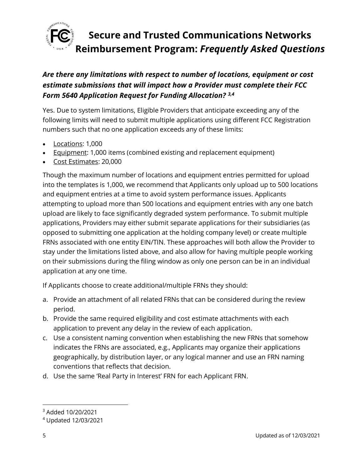

### *Are there any limitations with respect to number of locations, equipment or cost estimate submissions that will impact how a Provider must complete their FCC Form 5640 Application Request for Funding Allocation? 3,4*

Yes. Due to system limitations, Eligible Providers that anticipate exceeding any of the following limits will need to submit multiple applications using different FCC Registration numbers such that no one application exceeds any of these limits:

- Locations: 1,000
- **Equipment: 1,000 items (combined existing and replacement equipment)**
- Cost Estimates: 20,000

Though the maximum number of locations and equipment entries permitted for upload into the templates is 1,000, we recommend that Applicants only upload up to 500 locations and equipment entries at a time to avoid system performance issues. Applicants attempting to upload more than 500 locations and equipment entries with any one batch upload are likely to face significantly degraded system performance. To submit multiple applications, Providers may either submit separate applications for their subsidiaries (as opposed to submitting one application at the holding company level) or create multiple FRNs associated with one entity EIN/TIN. These approaches will both allow the Provider to stay under the limitations listed above, and also allow for having multiple people working on their submissions during the filing window as only one person can be in an individual application at any one time.

If Applicants choose to create additional/multiple FRNs they should:

- a. Provide an attachment of all related FRNs that can be considered during the review period.
- b. Provide the same required eligibility and cost estimate attachments with each application to prevent any delay in the review of each application.
- c. Use a consistent naming convention when establishing the new FRNs that somehow indicates the FRNs are associated, e.g., Applicants may organize their applications geographically, by distribution layer, or any logical manner and use an FRN naming conventions that reflects that decision.
- d. Use the same 'Real Party in Interest' FRN for each Applicant FRN.

<sup>3</sup> Added 10/20/2021

<sup>4</sup> Updated 12/03/2021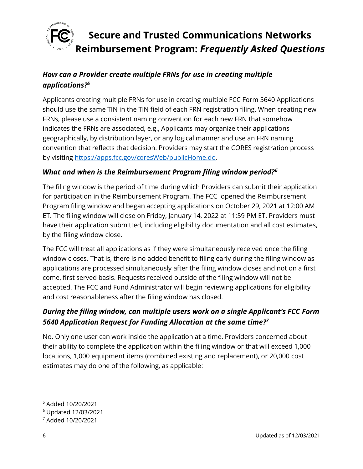

### *How can a Provider create multiple FRNs for use in creating multiple applications?<sup>5</sup>*

Applicants creating multiple FRNs for use in creating multiple FCC Form 5640 Applications should use the same TIN in the TIN field of each FRN registration filing. When creating new FRNs, please use a consistent naming convention for each new FRN that somehow indicates the FRNs are associated, e.g., Applicants may organize their applications geographically, by distribution layer, or any logical manner and use an FRN naming convention that reflects that decision. Providers may start the CORES registration process by visiting [https://apps.fcc.gov/coresWeb/publicHome.do.](https://apps.fcc.gov/coresWeb/publicHome.do)

#### *What and when is the Reimbursement Program filing window period?<sup>6</sup>*

The filing window is the period of time during which Providers can submit their application for participation in the Reimbursement Program. The FCC opened the Reimbursement Program filing window and began accepting applications on October 29, 2021 at 12:00 AM ET. The filing window will close on Friday, January 14, 2022 at 11:59 PM ET. Providers must have their application submitted, including eligibility documentation and all cost estimates, by the filing window close.

The FCC will treat all applications as if they were simultaneously received once the filing window closes. That is, there is no added benefit to filing early during the filing window as applications are processed simultaneously after the filing window closes and not on a first come, first served basis. Requests received outside of the filing window will not be accepted. The FCC and Fund Administrator will begin reviewing applications for eligibility and cost reasonableness after the filing window has closed.

### *During the filing window, can multiple users work on a single Applicant's FCC Form 5640 Application Request for Funding Allocation at the same time?<sup>7</sup>*

No. Only one user can work inside the application at a time. Providers concerned about their ability to complete the application within the filing window or that will exceed 1,000 locations, 1,000 equipment items (combined existing and replacement), or 20,000 cost estimates may do one of the following, as applicable:

<sup>5</sup> Added 10/20/2021

<sup>6</sup> Updated 12/03/2021

<sup>7</sup> Added 10/20/2021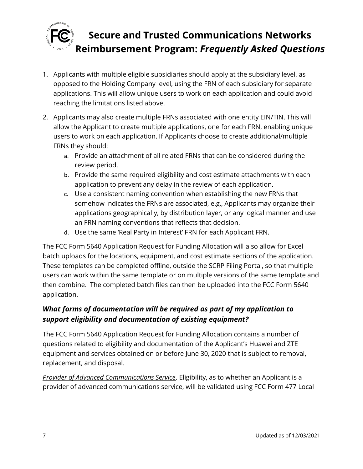

- 1. Applicants with multiple eligible subsidiaries should apply at the subsidiary level, as opposed to the Holding Company level, using the FRN of each subsidiary for separate applications. This will allow unique users to work on each application and could avoid reaching the limitations listed above.
- 2. Applicants may also create multiple FRNs associated with one entity EIN/TIN. This will allow the Applicant to create multiple applications, one for each FRN, enabling unique users to work on each application. If Applicants choose to create additional/multiple FRNs they should:
	- a. Provide an attachment of all related FRNs that can be considered during the review period.
	- b. Provide the same required eligibility and cost estimate attachments with each application to prevent any delay in the review of each application.
	- c. Use a consistent naming convention when establishing the new FRNs that somehow indicates the FRNs are associated, e.g., Applicants may organize their applications geographically, by distribution layer, or any logical manner and use an FRN naming conventions that reflects that decision.
	- d. Use the same 'Real Party in Interest' FRN for each Applicant FRN.

The FCC Form 5640 Application Request for Funding Allocation will also allow for Excel batch uploads for the locations, equipment, and cost estimate sections of the application. These templates can be completed offline, outside the SCRP Filing Portal, so that multiple users can work within the same template or on multiple versions of the same template and then combine. The completed batch files can then be uploaded into the FCC Form 5640 application.

### *What forms of documentation will be required as part of my application to support eligibility and documentation of existing equipment?*

The FCC Form 5640 Application Request for Funding Allocation contains a number of questions related to eligibility and documentation of the Applicant's Huawei and ZTE equipment and services obtained on or before June 30, 2020 that is subject to removal, replacement, and disposal.

*Provider of Advanced Communications Service*. Eligibility, as to whether an Applicant is a provider of advanced communications service, will be validated using FCC Form 477 Local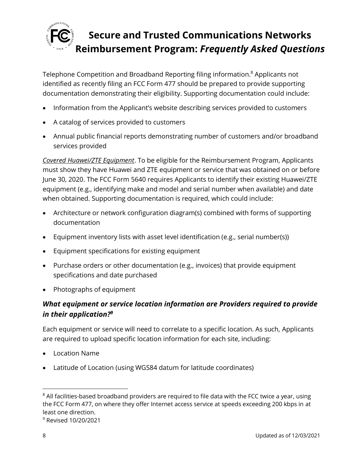

Telephone Competition and Broadband Reporting filing information.<sup>8</sup> Applicants not identified as recently filing an FCC Form 477 should be prepared to provide supporting documentation demonstrating their eligibility. Supporting documentation could include:

- Information from the Applicant's website describing services provided to customers
- A catalog of services provided to customers
- Annual public financial reports demonstrating number of customers and/or broadband services provided

*Covered Huawei/ZTE Equipment*. To be eligible for the Reimbursement Program, Applicants must show they have Huawei and ZTE equipment or service that was obtained on or before June 30, 2020. The FCC Form 5640 requires Applicants to identify their existing Huawei/ZTE equipment (e.g., identifying make and model and serial number when available) and date when obtained. Supporting documentation is required, which could include:

- Architecture or network configuration diagram(s) combined with forms of supporting documentation
- Equipment inventory lists with asset level identification (e.g., serial number(s))
- Equipment specifications for existing equipment
- Purchase orders or other documentation (e.g., invoices) that provide equipment specifications and date purchased
- Photographs of equipment

## *What equipment or service location information are Providers required to provide in their application?<sup>9</sup>*

Each equipment or service will need to correlate to a specific location. As such, Applicants are required to upload specific location information for each site, including:

- Location Name
- Latitude of Location (using WGS84 datum for latitude coordinates)

 $8$  All facilities-based broadband providers are required to file data with the FCC twice a year, using the FCC Form 477, on where they offer Internet access service at speeds exceeding 200 kbps in at least one direction.

<sup>9</sup> Revised 10/20/2021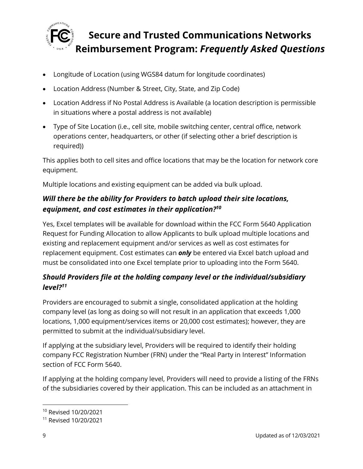

- Longitude of Location (using WGS84 datum for longitude coordinates)
- Location Address (Number & Street, City, State, and Zip Code)
- Location Address if No Postal Address is Available (a location description is permissible in situations where a postal address is not available)
- Type of Site Location (i.e., cell site, mobile switching center, central office, network operations center, headquarters, or other (if selecting other a brief description is required))

This applies both to cell sites and office locations that may be the location for network core equipment.

Multiple locations and existing equipment can be added via bulk upload.

## *Will there be the ability for Providers to batch upload their site locations, equipment, and cost estimates in their application?<sup>10</sup>*

Yes, Excel templates will be available for download within the FCC Form 5640 Application Request for Funding Allocation to allow Applicants to bulk upload multiple locations and existing and replacement equipment and/or services as well as cost estimates for replacement equipment. Cost estimates can *only* be entered via Excel batch upload and must be consolidated into one Excel template prior to uploading into the Form 5640.

### *Should Providers file at the holding company level or the individual/subsidiary level?<sup>11</sup>*

Providers are encouraged to submit a single, consolidated application at the holding company level (as long as doing so will not result in an application that exceeds 1,000 locations, 1,000 equipment/services items or 20,000 cost estimates); however, they are permitted to submit at the individual/subsidiary level.

If applying at the subsidiary level, Providers will be required to identify their holding company FCC Registration Number (FRN) under the "Real Party in Interest" Information section of FCC Form 5640.

If applying at the holding company level, Providers will need to provide a listing of the FRNs of the subsidiaries covered by their application. This can be included as an attachment in

<sup>10</sup> Revised 10/20/2021

<sup>11</sup> Revised 10/20/2021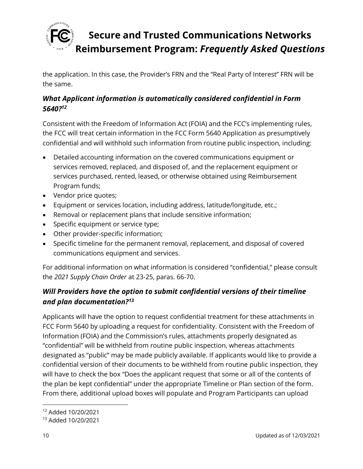

the application. In this case, the Provider's FRN and the "Real Party of Interest" FRN will be the same.

### *What Applicant information is automatically considered confidential in Form 5640?<sup>12</sup>*

Consistent with the Freedom of Information Act (FOIA) and the FCC's implementing rules, the FCC will treat certain information in the FCC Form 5640 Application as presumptively confidential and will withhold such information from routine public inspection, including:

- Detailed accounting information on the covered communications equipment or services removed, replaced, and disposed of, and the replacement equipment or services purchased, rented, leased, or otherwise obtained using Reimbursement Program funds;
- Vendor price quotes;
- Equipment or services location, including address, latitude/longitude, etc.;
- Removal or replacement plans that include sensitive information;
- Specific equipment or service type;
- Other provider-specific information;
- Specific timeline for the permanent removal, replacement, and disposal of covered communications equipment and services.

For additional information on what information is considered "confidential," please consult the *2021 Supply Chain Order* at 23-25, paras. 66-70.

## *Will Providers have the option to submit confidential versions of their timeline and plan documentation?<sup>13</sup>*

Applicants will have the option to request confidential treatment for these attachments in FCC Form 5640 by uploading a request for confidentiality. Consistent with the Freedom of Information (FOIA) and the Commission's rules, attachments properly designated as "confidential" will be withheld from routine public inspection, whereas attachments designated as "public" may be made publicly available. If applicants would like to provide a confidential version of their documents to be withheld from routine public inspection, they will have to check the box "Does the applicant request that some or all of the contents of the plan be kept confidential" under the appropriate Timeline or Plan section of the form. From there, additional upload boxes will populate and Program Participants can upload

<sup>12</sup> Added 10/20/2021

<sup>13</sup> Added 10/20/2021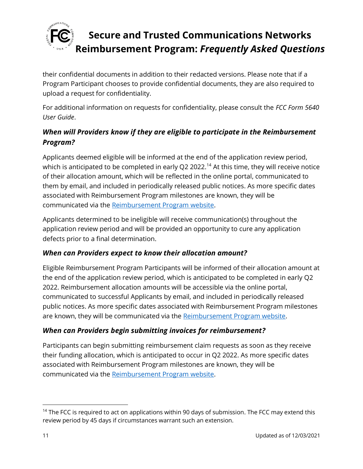

their confidential documents in addition to their redacted versions. Please note that if a Program Participant chooses to provide confidential documents, they are also required to upload a request for confidentiality.

For additional information on requests for confidentiality, please consult the *FCC Form 5640 User Guide*.

### *When will Providers know if they are eligible to participate in the Reimbursement Program?*

Applicants deemed eligible will be informed at the end of the application review period, which is anticipated to be completed in early Q2 2022.<sup>14</sup> At this time, they will receive notice of their allocation amount, which will be reflected in the online portal, communicated to them by email, and included in periodically released public notices. As more specific dates associated with Reimbursement Program milestones are known, they will be communicated via the [Reimbursement Program website.](https://www.fcc.gov/supplychain)

Applicants determined to be ineligible will receive communication(s) throughout the application review period and will be provided an opportunity to cure any application defects prior to a final determination.

### *When can Providers expect to know their allocation amount?*

Eligible Reimbursement Program Participants will be informed of their allocation amount at the end of the application review period, which is anticipated to be completed in early Q2 2022. Reimbursement allocation amounts will be accessible via the online portal, communicated to successful Applicants by email, and included in periodically released public notices. As more specific dates associated with Reimbursement Program milestones are known, they will be communicated via the [Reimbursement Program website.](https://www.fcc.gov/supplychain)

#### *When can Providers begin submitting invoices for reimbursement?*

Participants can begin submitting reimbursement claim requests as soon as they receive their funding allocation, which is anticipated to occur in Q2 2022. As more specific dates associated with Reimbursement Program milestones are known, they will be communicated via the [Reimbursement Program website.](https://www.fcc.gov/supplychain)

 $14$  The FCC is required to act on applications within 90 days of submission. The FCC may extend this review period by 45 days if circumstances warrant such an extension.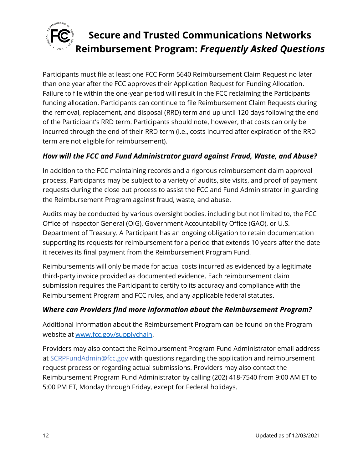

Participants must file at least one FCC Form 5640 Reimbursement Claim Request no later than one year after the FCC approves their Application Request for Funding Allocation. Failure to file within the one-year period will result in the FCC reclaiming the Participants funding allocation. Participants can continue to file Reimbursement Claim Requests during the removal, replacement, and disposal (RRD) term and up until 120 days following the end of the Participant's RRD term. Participants should note, however, that costs can only be incurred through the end of their RRD term (i.e., costs incurred after expiration of the RRD term are not eligible for reimbursement).

### *How will the FCC and Fund Administrator guard against Fraud, Waste, and Abuse?*

In addition to the FCC maintaining records and a rigorous reimbursement claim approval process, Participants may be subject to a variety of audits, site visits, and proof of payment requests during the close out process to assist the FCC and Fund Administrator in guarding the Reimbursement Program against fraud, waste, and abuse.

Audits may be conducted by various oversight bodies, including but not limited to, the FCC Office of Inspector General (OIG), Government Accountability Office (GAO), or U.S. Department of Treasury. A Participant has an ongoing obligation to retain documentation supporting its requests for reimbursement for a period that extends 10 years after the date it receives its final payment from the Reimbursement Program Fund.

Reimbursements will only be made for actual costs incurred as evidenced by a legitimate third-party invoice provided as documented evidence. Each reimbursement claim submission requires the Participant to certify to its accuracy and compliance with the Reimbursement Program and FCC rules, and any applicable federal statutes.

#### *Where can Providers find more information about the Reimbursement Program?*

Additional information about the Reimbursement Program can be found on the Program website at [www.fcc.gov/supplychain.](http://www.fcc.gov/supplychain)

Providers may also contact the Reimbursement Program Fund Administrator email address at **SCRPFundAdmin@fcc.gov** with questions regarding the application and reimbursement request process or regarding actual submissions. Providers may also contact the Reimbursement Program Fund Administrator by calling (202) 418-7540 from 9:00 AM ET to 5:00 PM ET, Monday through Friday, except for Federal holidays.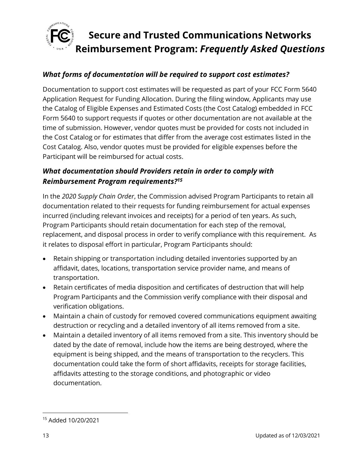

#### *What forms of documentation will be required to support cost estimates?*

Documentation to support cost estimates will be requested as part of your FCC Form 5640 Application Request for Funding Allocation. During the filing window, Applicants may use the Catalog of Eligible Expenses and Estimated Costs (the Cost Catalog) embedded in FCC Form 5640 to support requests if quotes or other documentation are not available at the time of submission. However, vendor quotes must be provided for costs not included in the Cost Catalog or for estimates that differ from the average cost estimates listed in the Cost Catalog. Also, vendor quotes must be provided for eligible expenses before the Participant will be reimbursed for actual costs.

#### *What documentation should Providers retain in order to comply with Reimbursement Program requirements?<sup>15</sup>*

In the *2020 Supply Chain Order*, the Commission advised Program Participants to retain all documentation related to their requests for funding reimbursement for actual expenses incurred (including relevant invoices and receipts) for a period of ten years. As such, Program Participants should retain documentation for each step of the removal, replacement, and disposal process in order to verify compliance with this requirement. As it relates to disposal effort in particular, Program Participants should:

- Retain shipping or transportation including detailed inventories supported by an affidavit, dates, locations, transportation service provider name, and means of transportation.
- Retain certificates of media disposition and certificates of destruction that will help Program Participants and the Commission verify compliance with their disposal and verification obligations.
- Maintain a chain of custody for removed covered communications equipment awaiting destruction or recycling and a detailed inventory of all items removed from a site.
- Maintain a detailed inventory of all items removed from a site. This inventory should be dated by the date of removal, include how the items are being destroyed, where the equipment is being shipped, and the means of transportation to the recyclers. This documentation could take the form of short affidavits, receipts for storage facilities, affidavits attesting to the storage conditions, and photographic or video documentation.

<sup>15</sup> Added 10/20/2021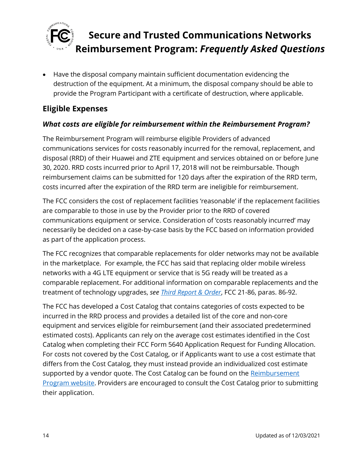

• Have the disposal company maintain sufficient documentation evidencing the destruction of the equipment. At a minimum, the disposal company should be able to provide the Program Participant with a certificate of destruction, where applicable.

## <span id="page-13-0"></span>**Eligible Expenses**

### *What costs are eligible for reimbursement within the Reimbursement Program?*

The Reimbursement Program will reimburse eligible Providers of advanced communications services for costs reasonably incurred for the removal, replacement, and disposal (RRD) of their Huawei and ZTE equipment and services obtained on or before June 30, 2020. RRD costs incurred prior to April 17, 2018 will not be reimbursable. Though reimbursement claims can be submitted for 120 days after the expiration of the RRD term, costs incurred after the expiration of the RRD term are ineligible for reimbursement.

The FCC considers the cost of replacement facilities 'reasonable' if the replacement facilities are comparable to those in use by the Provider prior to the RRD of covered communications equipment or service. Consideration of 'costs reasonably incurred' may necessarily be decided on a case-by-case basis by the FCC based on information provided as part of the application process.

The FCC recognizes that comparable replacements for older networks may not be available in the marketplace. For example, the FCC has said that replacing older mobile wireless networks with a 4G LTE equipment or service that is 5G ready will be treated as a comparable replacement. For additional information on comparable replacements and the treatment of technology upgrades, *see [Third Report & Order](https://www.fcc.gov/document/fcc-acts-protect-national-security-communications-supply-chain-0)*, FCC 21-86, paras. 86-92.

The FCC has developed a Cost Catalog that contains categories of costs expected to be incurred in the RRD process and provides a detailed list of the core and non-core equipment and services eligible for reimbursement (and their associated predetermined estimated costs). Applicants can rely on the average cost estimates identified in the Cost Catalog when completing their FCC Form 5640 Application Request for Funding Allocation. For costs not covered by the Cost Catalog, or if Applicants want to use a cost estimate that differs from the Cost Catalog, they must instead provide an individualized cost estimate supported by a vendor quote. The Cost Catalog can be found on the Reimbursement [Program website.](https://www.fcc.gov/supplychain) Providers are encouraged to consult the Cost Catalog prior to submitting their application.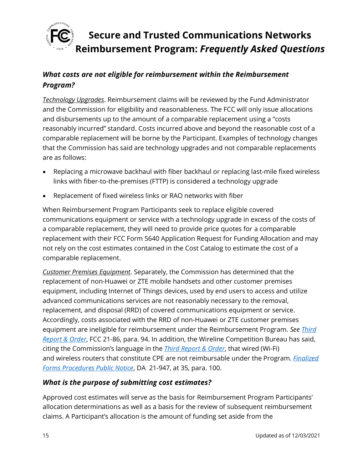

### *What costs are not eligible for reimbursement within the Reimbursement Program?*

*Technology Upgrades*. Reimbursement claims will be reviewed by the Fund Administrator and the Commission for eligibility and reasonableness. The FCC will only issue allocations and disbursements up to the amount of a comparable replacement using a "costs reasonably incurred" standard. Costs incurred above and beyond the reasonable cost of a comparable replacement will be borne by the Participant. Examples of technology changes that the Commission has said are technology upgrades and not comparable replacements are as follows:

- Replacing a microwave backhaul with fiber backhaul or replacing last-mile fixed wireless links with fiber-to-the-premises (FTTP) is considered a technology upgrade
- Replacement of fixed wireless links or RAO networks with fiber

When Reimbursement Program Participants seek to replace eligible covered communications equipment or service with a technology upgrade in excess of the costs of a comparable replacement, they will need to provide price quotes for a comparable replacement with their FCC Form 5640 Application Request for Funding Allocation and may not rely on the cost estimates contained in the Cost Catalog to estimate the cost of a comparable replacement.

*Customer Premises Equipment*. Separately, the Commission has determined that the replacement of non-Huawei or ZTE mobile handsets and other customer premises equipment, including Internet of Things devices, used by end users to access and utilize advanced communications services are not reasonably necessary to the removal, replacement, and disposal (RRD) of covered communications equipment or service. Accordingly, costs associated with the RRD of non-Huawei or ZTE customer premises equipment are ineligible for reimbursement under the Reimbursement Program. *See [Third](https://www.fcc.gov/document/fcc-acts-protect-national-security-communications-supply-chain-0)  [Report & Order](https://www.fcc.gov/document/fcc-acts-protect-national-security-communications-supply-chain-0)*, FCC 21-86, para. 94. In addition, the Wireline Competition Bureau has said, citing the Commission's language in the *[Third Report & Order](https://www.fcc.gov/document/fcc-acts-protect-national-security-communications-supply-chain-0)*, that wired (Wi-Fi) and wireless routers that constitute CPE are not reimbursable under the Program. *[Finalized](https://www.fcc.gov/document/fcc-announces-final-supply-chain-reimbursement-program-procedures)  [Forms Procedures Public Notice](https://www.fcc.gov/document/fcc-announces-final-supply-chain-reimbursement-program-procedures)*, DA 21-947, at 35, para. 100.

### *What is the purpose of submitting cost estimates?*

Approved cost estimates will serve as the basis for Reimbursement Program Participants' allocation determinations as well as a basis for the review of subsequent reimbursement claims. A Participant's allocation is the amount of funding set aside from the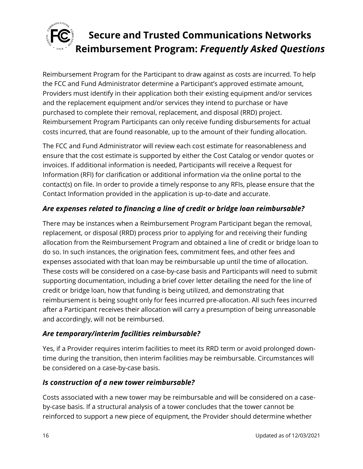

Reimbursement Program for the Participant to draw against as costs are incurred. To help the FCC and Fund Administrator determine a Participant's approved estimate amount, Providers must identify in their application both their existing equipment and/or services and the replacement equipment and/or services they intend to purchase or have purchased to complete their removal, replacement, and disposal (RRD) project. Reimbursement Program Participants can only receive funding disbursements for actual costs incurred, that are found reasonable, up to the amount of their funding allocation.

The FCC and Fund Administrator will review each cost estimate for reasonableness and ensure that the cost estimate is supported by either the Cost Catalog or vendor quotes or invoices. If additional information is needed, Participants will receive a Request for Information (RFI) for clarification or additional information via the online portal to the contact(s) on file. In order to provide a timely response to any RFIs, please ensure that the Contact Information provided in the application is up-to-date and accurate.

### *Are expenses related to financing a line of credit or bridge loan reimbursable?*

There may be instances when a Reimbursement Program Participant began the removal, replacement, or disposal (RRD) process prior to applying for and receiving their funding allocation from the Reimbursement Program and obtained a line of credit or bridge loan to do so. In such instances, the origination fees, commitment fees, and other fees and expenses associated with that loan may be reimbursable up until the time of allocation. These costs will be considered on a case-by-case basis and Participants will need to submit supporting documentation, including a brief cover letter detailing the need for the line of credit or bridge loan, how that funding is being utilized, and demonstrating that reimbursement is being sought only for fees incurred pre-allocation. All such fees incurred after a Participant receives their allocation will carry a presumption of being unreasonable and accordingly, will not be reimbursed.

### *Are temporary/interim facilities reimbursable?*

Yes, if a Provider requires interim facilities to meet its RRD term or avoid prolonged downtime during the transition, then interim facilities may be reimbursable. Circumstances will be considered on a case-by-case basis.

### *Is construction of a new tower reimbursable?*

Costs associated with a new tower may be reimbursable and will be considered on a caseby-case basis. If a structural analysis of a tower concludes that the tower cannot be reinforced to support a new piece of equipment, the Provider should determine whether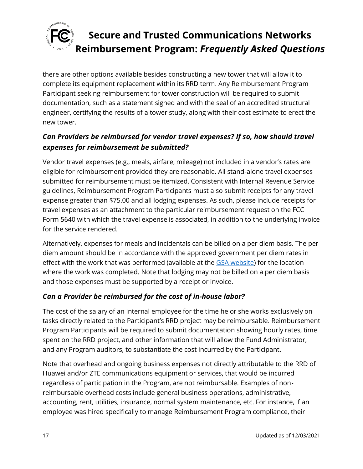

there are other options available besides constructing a new tower that will allow it to complete its equipment replacement within its RRD term. Any Reimbursement Program Participant seeking reimbursement for tower construction will be required to submit documentation, such as a statement signed and with the seal of an accredited structural engineer, certifying the results of a tower study, along with their cost estimate to erect the new tower.

### *Can Providers be reimbursed for vendor travel expenses? If so, how should travel expenses for reimbursement be submitted?*

Vendor travel expenses (e.g., meals, airfare, mileage) not included in a vendor's rates are eligible for reimbursement provided they are reasonable. All stand-alone travel expenses submitted for reimbursement must be itemized. Consistent with Internal Revenue Service guidelines, Reimbursement Program Participants must also submit receipts for any travel expense greater than \$75.00 and all lodging expenses. As such, please include receipts for travel expenses as an attachment to the particular reimbursement request on the FCC Form 5640 with which the travel expense is associated, in addition to the underlying invoice for the service rendered.

Alternatively, expenses for meals and incidentals can be billed on a per diem basis. The per diem amount should be in accordance with the approved government per diem rates in effect with the work that was performed (available at the [GSA website\)](https://www.gsa.gov/travel/plan-book/per-diem-rates) for the location where the work was completed. Note that lodging may not be billed on a per diem basis and those expenses must be supported by a receipt or invoice.

### *Can a Provider be reimbursed for the cost of in-house labor?*

The cost of the salary of an internal employee for the time he or she works exclusively on tasks directly related to the Participant's RRD project may be reimbursable. Reimbursement Program Participants will be required to submit documentation showing hourly rates, time spent on the RRD project, and other information that will allow the Fund Administrator, and any Program auditors, to substantiate the cost incurred by the Participant.

Note that overhead and ongoing business expenses not directly attributable to the RRD of Huawei and/or ZTE communications equipment or services, that would be incurred regardless of participation in the Program, are not reimbursable. Examples of nonreimbursable overhead costs include general business operations, administrative, accounting, rent, utilities, insurance, normal system maintenance, etc. For instance, if an employee was hired specifically to manage Reimbursement Program compliance, their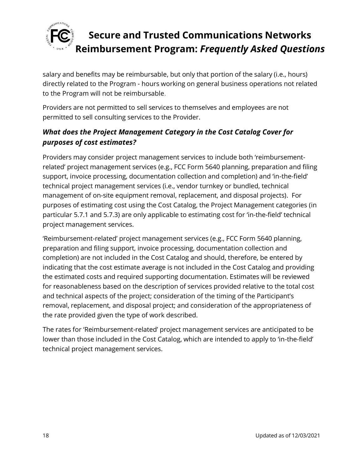

salary and benefits may be reimbursable, but only that portion of the salary (i.e., hours) directly related to the Program - hours working on general business operations not related to the Program will not be reimbursable.

Providers are not permitted to sell services to themselves and employees are not permitted to sell consulting services to the Provider.

### *What does the Project Management Category in the Cost Catalog Cover for purposes of cost estimates?*

Providers may consider project management services to include both 'reimbursementrelated' project management services (e.g., FCC Form 5640 planning, preparation and filing support, invoice processing, documentation collection and completion) and 'in-the-field' technical project management services (i.e., vendor turnkey or bundled, technical management of on-site equipment removal, replacement, and disposal projects). For purposes of estimating cost using the Cost Catalog, the Project Management categories (in particular 5.7.1 and 5.7.3) are only applicable to estimating cost for 'in-the-field' technical project management services.

'Reimbursement-related' project management services (e.g., FCC Form 5640 planning, preparation and filing support, invoice processing, documentation collection and completion) are not included in the Cost Catalog and should, therefore, be entered by indicating that the cost estimate average is not included in the Cost Catalog and providing the estimated costs and required supporting documentation. Estimates will be reviewed for reasonableness based on the description of services provided relative to the total cost and technical aspects of the project; consideration of the timing of the Participant's removal, replacement, and disposal project; and consideration of the appropriateness of the rate provided given the type of work described.

The rates for 'Reimbursement-related' project management services are anticipated to be lower than those included in the Cost Catalog, which are intended to apply to 'in-the-field' technical project management services.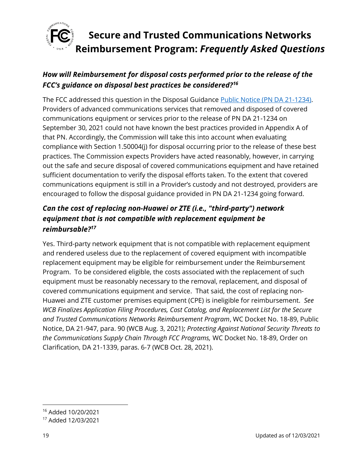

### *How will Reimbursement for disposal costs performed prior to the release of the FCC's guidance on disposal best practices be considered?<sup>16</sup>*

The FCC addressed this question in the Disposal Guidance [Public Notice \(PN DA 21-1234\).](https://docs.fcc.gov/public/attachments/DA-21-1234A1.pdf) Providers of advanced communications services that removed and disposed of covered communications equipment or services prior to the release of PN DA 21-1234 on September 30, 2021 could not have known the best practices provided in Appendix A of that PN. Accordingly, the Commission will take this into account when evaluating compliance with Section 1.50004(j) for disposal occurring prior to the release of these best practices. The Commission expects Providers have acted reasonably, however, in carrying out the safe and secure disposal of covered communications equipment and have retained sufficient documentation to verify the disposal efforts taken. To the extent that covered communications equipment is still in a Provider's custody and not destroyed, providers are encouraged to follow the disposal guidance provided in PN DA 21-1234 going forward.

## *Can the cost of replacing non-Huawei or ZTE (i.e., "third-party") network equipment that is not compatible with replacement equipment be reimbursable?<sup>17</sup>*

Yes. Third-party network equipment that is not compatible with replacement equipment and rendered useless due to the replacement of covered equipment with incompatible replacement equipment may be eligible for reimbursement under the Reimbursement Program. To be considered eligible, the costs associated with the replacement of such equipment must be reasonably necessary to the removal, replacement, and disposal of covered communications equipment and service. That said, the cost of replacing non-Huawei and ZTE customer premises equipment (CPE) is ineligible for reimbursement. *See WCB Finalizes Application Filing Procedures, Cost Catalog, and Replacement List for the Secure and Trusted Communications Networks Reimbursement Program*, WC Docket No. 18-89, Public Notice, DA 21-947, para. 90 (WCB Aug. 3, 2021); *Protecting Against National Security Threats to the Communications Supply Chain Through FCC Programs,* WC Docket No. 18-89, Order on Clarification, DA 21-1339, paras. 6-7 (WCB Oct. 28, 2021).

<sup>16</sup> Added 10/20/2021

<sup>17</sup> Added 12/03/2021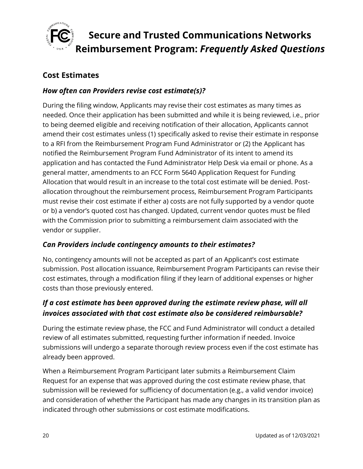

### <span id="page-19-0"></span>**Cost Estimates**

#### *How often can Providers revise cost estimate(s)?*

During the filing window, Applicants may revise their cost estimates as many times as needed. Once their application has been submitted and while it is being reviewed, i.e., prior to being deemed eligible and receiving notification of their allocation, Applicants cannot amend their cost estimates unless (1) specifically asked to revise their estimate in response to a RFI from the Reimbursement Program Fund Administrator or (2) the Applicant has notified the Reimbursement Program Fund Administrator of its intent to amend its application and has contacted the Fund Administrator Help Desk via email or phone. As a general matter, amendments to an FCC Form 5640 Application Request for Funding Allocation that would result in an increase to the total cost estimate will be denied. Postallocation throughout the reimbursement process, Reimbursement Program Participants must revise their cost estimate if either a) costs are not fully supported by a vendor quote or b) a vendor's quoted cost has changed. Updated, current vendor quotes must be filed with the Commission prior to submitting a reimbursement claim associated with the vendor or supplier.

#### *Can Providers include contingency amounts to their estimates?*

No, contingency amounts will not be accepted as part of an Applicant's cost estimate submission. Post allocation issuance, Reimbursement Program Participants can revise their cost estimates, through a modification filing if they learn of additional expenses or higher costs than those previously entered.

#### *If a cost estimate has been approved during the estimate review phase, will all invoices associated with that cost estimate also be considered reimbursable?*

During the estimate review phase, the FCC and Fund Administrator will conduct a detailed review of all estimates submitted, requesting further information if needed. Invoice submissions will undergo a separate thorough review process even if the cost estimate has already been approved.

When a Reimbursement Program Participant later submits a Reimbursement Claim Request for an expense that was approved during the cost estimate review phase, that submission will be reviewed for sufficiency of documentation (e.g., a valid vendor invoice) and consideration of whether the Participant has made any changes in its transition plan as indicated through other submissions or cost estimate modifications.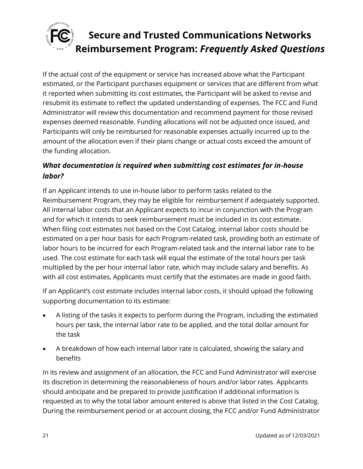

If the actual cost of the equipment or service has increased above what the Participant estimated, or the Participant purchases equipment or services that are different from what it reported when submitting its cost estimates, the Participant will be asked to revise and resubmit its estimate to reflect the updated understanding of expenses. The FCC and Fund Administrator will review this documentation and recommend payment for those revised expenses deemed reasonable. Funding allocations will not be adjusted once issued, and Participants will only be reimbursed for reasonable expenses actually incurred up to the amount of the allocation even if their plans change or actual costs exceed the amount of the funding allocation.

### *What documentation is required when submitting cost estimates for in-house labor?*

If an Applicant intends to use in-house labor to perform tasks related to the Reimbursement Program, they may be eligible for reimbursement if adequately supported. All internal labor costs that an Applicant expects to incur in conjunction with the Program and for which it intends to seek reimbursement must be included in its cost estimate. When filing cost estimates not based on the Cost Catalog, internal labor costs should be estimated on a per hour basis for each Program-related task, providing both an estimate of labor hours to be incurred for each Program-related task and the internal labor rate to be used. The cost estimate for each task will equal the estimate of the total hours per task multiplied by the per hour internal labor rate, which may include salary and benefits. As with all cost estimates, Applicants must certify that the estimates are made in good faith.

If an Applicant's cost estimate includes internal labor costs, it should upload the following supporting documentation to its estimate:

- A listing of the tasks it expects to perform during the Program, including the estimated hours per task, the internal labor rate to be applied, and the total dollar amount for the task
- A breakdown of how each internal labor rate is calculated, showing the salary and benefits

In its review and assignment of an allocation, the FCC and Fund Administrator will exercise its discretion in determining the reasonableness of hours and/or labor rates. Applicants should anticipate and be prepared to provide justification if additional information is requested as to why the total labor amount entered is above that listed in the Cost Catalog. During the reimbursement period or at account closing, the FCC and/or Fund Administrator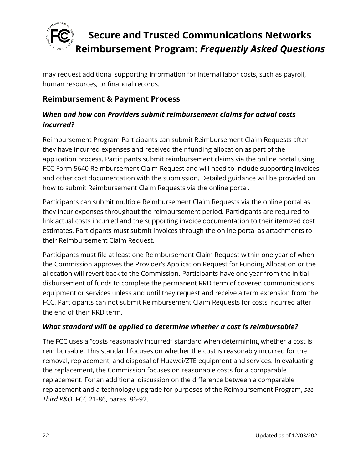

may request additional supporting information for internal labor costs, such as payroll, human resources, or financial records.

### <span id="page-21-0"></span>**Reimbursement & Payment Process**

### *When and how can Providers submit reimbursement claims for actual costs incurred?*

Reimbursement Program Participants can submit Reimbursement Claim Requests after they have incurred expenses and received their funding allocation as part of the application process. Participants submit reimbursement claims via the online portal using FCC Form 5640 Reimbursement Claim Request and will need to include supporting invoices and other cost documentation with the submission. Detailed guidance will be provided on how to submit Reimbursement Claim Requests via the online portal.

Participants can submit multiple Reimbursement Claim Requests via the online portal as they incur expenses throughout the reimbursement period. Participants are required to link actual costs incurred and the supporting invoice documentation to their itemized cost estimates. Participants must submit invoices through the online portal as attachments to their Reimbursement Claim Request.

Participants must file at least one Reimbursement Claim Request within one year of when the Commission approves the Provider's Application Request for Funding Allocation or the allocation will revert back to the Commission. Participants have one year from the initial disbursement of funds to complete the permanent RRD term of covered communications equipment or services unless and until they request and receive a term extension from the FCC. Participants can not submit Reimbursement Claim Requests for costs incurred after the end of their RRD term.

#### *What standard will be applied to determine whether a cost is reimbursable?*

The FCC uses a "costs reasonably incurred" standard when determining whether a cost is reimbursable. This standard focuses on whether the cost is reasonably incurred for the removal, replacement, and disposal of Huawei/ZTE equipment and services. In evaluating the replacement, the Commission focuses on reasonable costs for a comparable replacement. For an additional discussion on the difference between a comparable replacement and a technology upgrade for purposes of the Reimbursement Program, *see Third R&O*, FCC 21-86, paras. 86-92.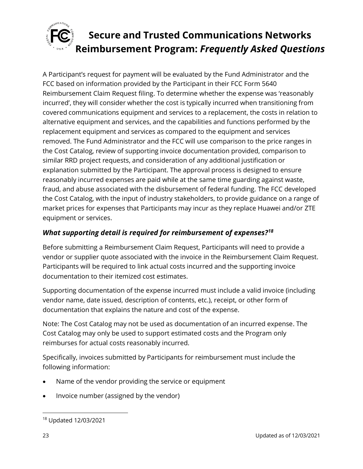

A Participant's request for payment will be evaluated by the Fund Administrator and the FCC based on information provided by the Participant in their FCC Form 5640 Reimbursement Claim Request filing. To determine whether the expense was 'reasonably incurred', they will consider whether the cost is typically incurred when transitioning from covered communications equipment and services to a replacement, the costs in relation to alternative equipment and services, and the capabilities and functions performed by the replacement equipment and services as compared to the equipment and services removed. The Fund Administrator and the FCC will use comparison to the price ranges in the Cost Catalog, review of supporting invoice documentation provided, comparison to similar RRD project requests, and consideration of any additional justification or explanation submitted by the Participant. The approval process is designed to ensure reasonably incurred expenses are paid while at the same time guarding against waste, fraud, and abuse associated with the disbursement of federal funding. The FCC developed the Cost Catalog, with the input of industry stakeholders, to provide guidance on a range of market prices for expenses that Participants may incur as they replace Huawei and/or ZTE equipment or services.

#### *What supporting detail is required for reimbursement of expenses?<sup>18</sup>*

Before submitting a Reimbursement Claim Request, Participants will need to provide a vendor or supplier quote associated with the invoice in the Reimbursement Claim Request. Participants will be required to link actual costs incurred and the supporting invoice documentation to their itemized cost estimates.

Supporting documentation of the expense incurred must include a valid invoice (including vendor name, date issued, description of contents, etc.), receipt, or other form of documentation that explains the nature and cost of the expense.

Note: The Cost Catalog may not be used as documentation of an incurred expense. The Cost Catalog may only be used to support estimated costs and the Program only reimburses for actual costs reasonably incurred.

Specifically, invoices submitted by Participants for reimbursement must include the following information:

- Name of the vendor providing the service or equipment
- Invoice number (assigned by the vendor)

<sup>18</sup> Updated 12/03/2021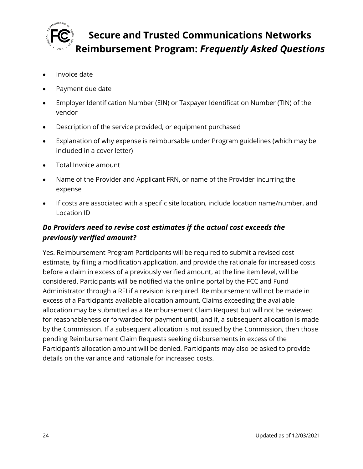

- Invoice date
- Payment due date
- Employer Identification Number (EIN) or Taxpayer Identification Number (TIN) of the vendor
- Description of the service provided, or equipment purchased
- Explanation of why expense is reimbursable under Program guidelines (which may be included in a cover letter)
- Total Invoice amount
- Name of the Provider and Applicant FRN, or name of the Provider incurring the expense
- If costs are associated with a specific site location, include location name/number, and Location ID

### *Do Providers need to revise cost estimates if the actual cost exceeds the previously verified amount?*

Yes. Reimbursement Program Participants will be required to submit a revised cost estimate, by filing a modification application, and provide the rationale for increased costs before a claim in excess of a previously verified amount, at the line item level, will be considered. Participants will be notified via the online portal by the FCC and Fund Administrator through a RFI if a revision is required. Reimbursement will not be made in excess of a Participants available allocation amount. Claims exceeding the available allocation may be submitted as a Reimbursement Claim Request but will not be reviewed for reasonableness or forwarded for payment until, and if, a subsequent allocation is made by the Commission. If a subsequent allocation is not issued by the Commission, then those pending Reimbursement Claim Requests seeking disbursements in excess of the Participant's allocation amount will be denied. Participants may also be asked to provide details on the variance and rationale for increased costs.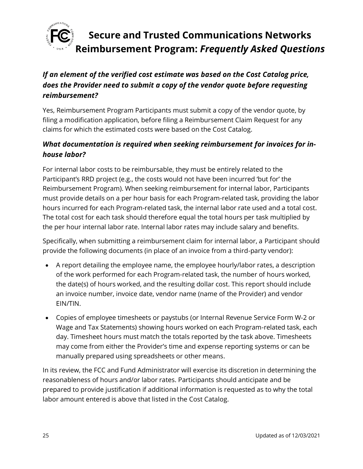

### *If an element of the verified cost estimate was based on the Cost Catalog price, does the Provider need to submit a copy of the vendor quote before requesting reimbursement?*

Yes, Reimbursement Program Participants must submit a copy of the vendor quote, by filing a modification application, before filing a Reimbursement Claim Request for any claims for which the estimated costs were based on the Cost Catalog.

### *What documentation is required when seeking reimbursement for invoices for inhouse labor?*

For internal labor costs to be reimbursable, they must be entirely related to the Participant's RRD project (e.g., the costs would not have been incurred 'but for' the Reimbursement Program). When seeking reimbursement for internal labor, Participants must provide details on a per hour basis for each Program-related task, providing the labor hours incurred for each Program-related task, the internal labor rate used and a total cost. The total cost for each task should therefore equal the total hours per task multiplied by the per hour internal labor rate. Internal labor rates may include salary and benefits.

Specifically, when submitting a reimbursement claim for internal labor, a Participant should provide the following documents (in place of an invoice from a third-party vendor):

- A report detailing the employee name, the employee hourly/labor rates, a description of the work performed for each Program-related task, the number of hours worked, the date(s) of hours worked, and the resulting dollar cost. This report should include an invoice number, invoice date, vendor name (name of the Provider) and vendor EIN/TIN.
- Copies of employee timesheets or paystubs (or Internal Revenue Service Form W-2 or Wage and Tax Statements) showing hours worked on each Program-related task, each day. Timesheet hours must match the totals reported by the task above. Timesheets may come from either the Provider's time and expense reporting systems or can be manually prepared using spreadsheets or other means.

In its review, the FCC and Fund Administrator will exercise its discretion in determining the reasonableness of hours and/or labor rates. Participants should anticipate and be prepared to provide justification if additional information is requested as to why the total labor amount entered is above that listed in the Cost Catalog.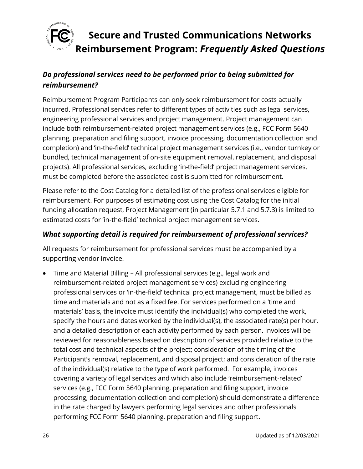

### *Do professional services need to be performed prior to being submitted for reimbursement?*

Reimbursement Program Participants can only seek reimbursement for costs actually incurred. Professional services refer to different types of activities such as legal services, engineering professional services and project management. Project management can include both reimbursement-related project management services (e.g., FCC Form 5640 planning, preparation and filing support, invoice processing, documentation collection and completion) and 'in-the-field' technical project management services (i.e., vendor turnkey or bundled, technical management of on-site equipment removal, replacement, and disposal projects). All professional services, excluding 'in-the-field' project management services, must be completed before the associated cost is submitted for reimbursement.

Please refer to the Cost Catalog for a detailed list of the professional services eligible for reimbursement. For purposes of estimating cost using the Cost Catalog for the initial funding allocation request, Project Management (in particular 5.7.1 and 5.7.3) is limited to estimated costs for 'in-the-field' technical project management services.

#### *What supporting detail is required for reimbursement of professional services?*

All requests for reimbursement for professional services must be accompanied by a supporting vendor invoice.

• Time and Material Billing – All professional services (e.g., legal work and reimbursement-related project management services) excluding engineering professional services or 'in-the-field' technical project management, must be billed as time and materials and not as a fixed fee. For services performed on a 'time and materials' basis, the invoice must identify the individual(s) who completed the work, specify the hours and dates worked by the individual(s), the associated rate(s) per hour, and a detailed description of each activity performed by each person. Invoices will be reviewed for reasonableness based on description of services provided relative to the total cost and technical aspects of the project; consideration of the timing of the Participant's removal, replacement, and disposal project; and consideration of the rate of the individual(s) relative to the type of work performed. For example, invoices covering a variety of legal services and which also include 'reimbursement-related' services (e.g., FCC Form 5640 planning, preparation and filing support, invoice processing, documentation collection and completion) should demonstrate a difference in the rate charged by lawyers performing legal services and other professionals performing FCC Form 5640 planning, preparation and filing support.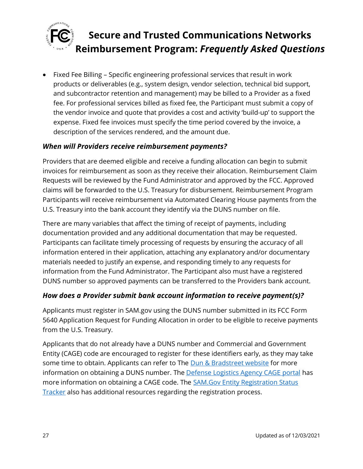

• Fixed Fee Billing – Specific engineering professional services that result in work products or deliverables (e.g., system design, vendor selection, technical bid support, and subcontractor retention and management) may be billed to a Provider as a fixed fee. For professional services billed as fixed fee, the Participant must submit a copy of the vendor invoice and quote that provides a cost and activity 'build-up' to support the expense. Fixed fee invoices must specify the time period covered by the invoice, a description of the services rendered, and the amount due.

#### *When will Providers receive reimbursement payments?*

Providers that are deemed eligible and receive a funding allocation can begin to submit invoices for reimbursement as soon as they receive their allocation. Reimbursement Claim Requests will be reviewed by the Fund Administrator and approved by the FCC. Approved claims will be forwarded to the U.S. Treasury for disbursement. Reimbursement Program Participants will receive reimbursement via Automated Clearing House payments from the U.S. Treasury into the bank account they identify via the DUNS number on file.

There are many variables that affect the timing of receipt of payments, including documentation provided and any additional documentation that may be requested. Participants can facilitate timely processing of requests by ensuring the accuracy of all information entered in their application, attaching any explanatory and/or documentary materials needed to justify an expense, and responding timely to any requests for information from the Fund Administrator. The Participant also must have a registered DUNS number so approved payments can be transferred to the Providers bank account.

#### *How does a Provider submit bank account information to receive payment(s)?*

Applicants must register in SAM.gov using the DUNS number submitted in its FCC Form 5640 Application Request for Funding Allocation in order to be eligible to receive payments from the U.S. Treasury.

Applicants that do not already have a DUNS number and Commercial and Government Entity (CAGE) code are encouraged to register for these identifiers early, as they may take some time to obtain. Applicants can refer to The [Dun & Bradstreet website](https://fedgov.dnb.com/webform/) for more information on obtaining a DUNS number. The [Defense Logistics Agency CAGE portal](https://cage.dla.mil/) has more information on obtaining a CAGE code. The [SAM.Gov Entity Registration Status](https://sam.gov/content/status-tracker)  [Tracker](https://sam.gov/content/status-tracker) also has additional resources regarding the registration process.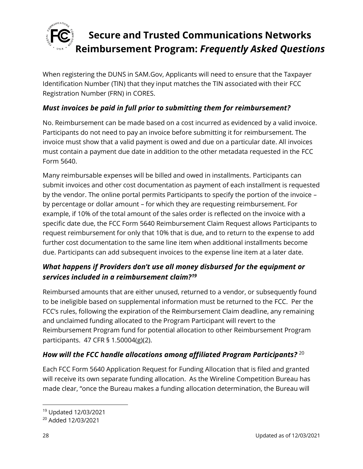

When registering the DUNS in SAM.Gov, Applicants will need to ensure that the Taxpayer Identification Number (TIN) that they input matches the TIN associated with their FCC Registration Number (FRN) in CORES.

### *Must invoices be paid in full prior to submitting them for reimbursement?*

No. Reimbursement can be made based on a cost incurred as evidenced by a valid invoice. Participants do not need to pay an invoice before submitting it for reimbursement. The invoice must show that a valid payment is owed and due on a particular date. All invoices must contain a payment due date in addition to the other metadata requested in the FCC Form 5640.

Many reimbursable expenses will be billed and owed in installments. Participants can submit invoices and other cost documentation as payment of each installment is requested by the vendor. The online portal permits Participants to specify the portion of the invoice – by percentage or dollar amount – for which they are requesting reimbursement. For example, if 10% of the total amount of the sales order is reflected on the invoice with a specific date due, the FCC Form 5640 Reimbursement Claim Request allows Participants to request reimbursement for only that 10% that is due, and to return to the expense to add further cost documentation to the same line item when additional installments become due. Participants can add subsequent invoices to the expense line item at a later date.

### *What happens if Providers don't use all money disbursed for the equipment or services included in a reimbursement claim?<sup>19</sup>*

Reimbursed amounts that are either unused, returned to a vendor, or subsequently found to be ineligible based on supplemental information must be returned to the FCC. Per the FCC's rules, following the expiration of the Reimbursement Claim deadline, any remaining and unclaimed funding allocated to the Program Participant will revert to the Reimbursement Program fund for potential allocation to other Reimbursement Program participants. 47 CFR § 1.50004(g)(2).

### *How will the FCC handle allocations among affiliated Program Participants?* <sup>20</sup>

Each FCC Form 5640 Application Request for Funding Allocation that is filed and granted will receive its own separate funding allocation. As the Wireline Competition Bureau has made clear, "once the Bureau makes a funding allocation determination, the Bureau will

<sup>19</sup> Updated 12/03/2021

<sup>20</sup> Added 12/03/2021